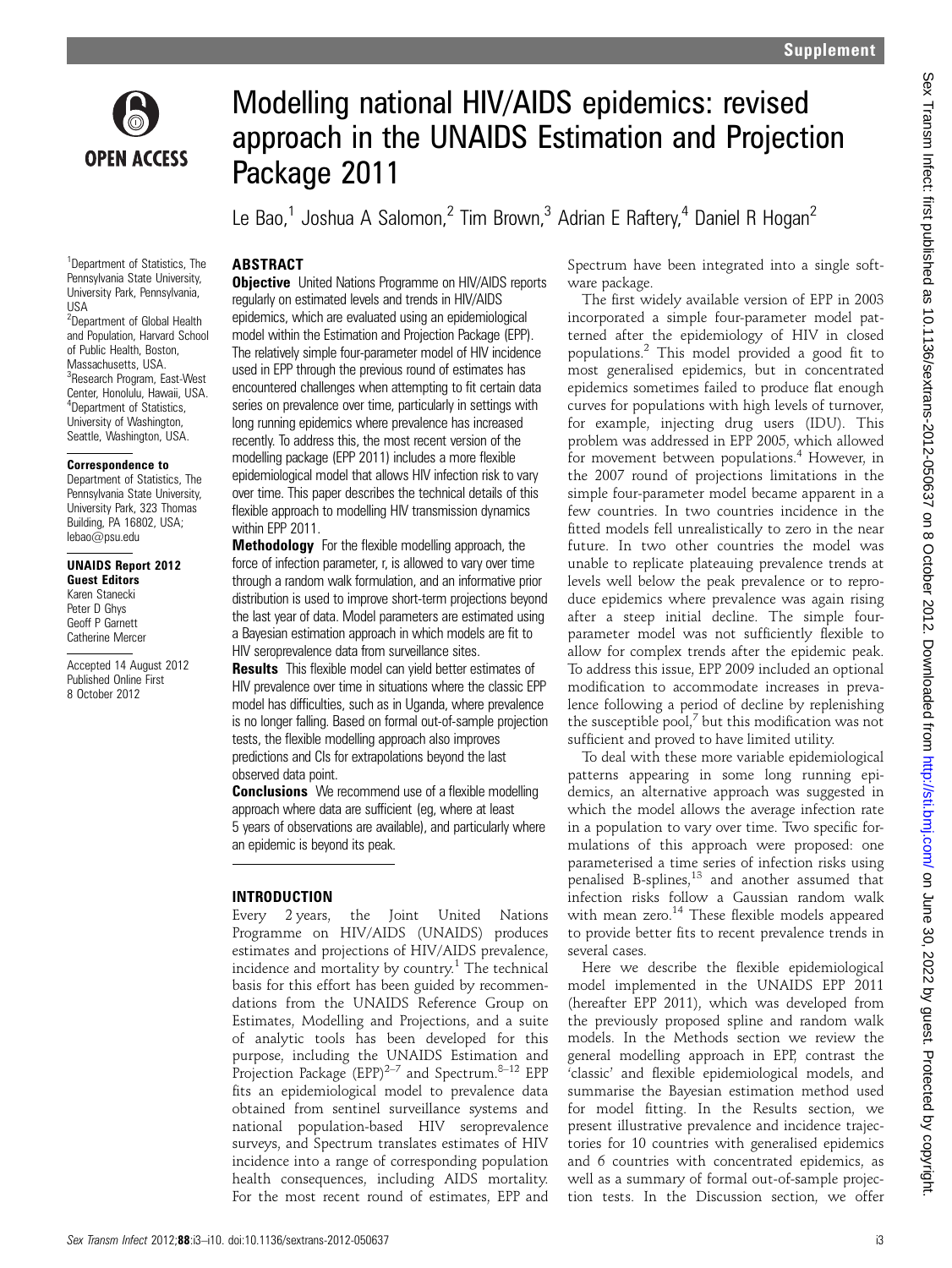

<sup>1</sup>Department of Statistics, The Pennsylvania State University, University Park, Pennsylvania,

<sup>2</sup>Department of Global Health and Population, Harvard School of Public Health, Boston, Massachusetts, USA. <sup>3</sup>Research Program, East-West Center, Honolulu, Hawaii, USA. 4 Department of Statistics, University of Washington, Seattle, Washington, USA. Correspondence to Department of Statistics, The Pennsylvania State University, University Park, 323 Thomas Building, PA 16802, USA; lebao@psu.edu

UNAIDS Report 2012 Guest Editors Karen Stanecki Peter D Ghys Geoff P Garnett Catherine Mercer

Accepted 14 August 2012 Published Online First 8 October 2012

USA

# Modelling national HIV/AIDS epidemics: revised approach in the UNAIDS Estimation and Projection Package 2011

Le Bao,<sup>1</sup> Joshua A Salomon,<sup>2</sup> Tim Brown,<sup>3</sup> Adrian E Raftery,<sup>4</sup> Daniel R Hogan<sup>2</sup>

# ABSTRACT

**Objective** United Nations Programme on HIV/AIDS reports regularly on estimated levels and trends in HIV/AIDS epidemics, which are evaluated using an epidemiological model within the Estimation and Projection Package (EPP). The relatively simple four-parameter model of HIV incidence used in EPP through the previous round of estimates has encountered challenges when attempting to fit certain data series on prevalence over time, particularly in settings with long running epidemics where prevalence has increased recently. To address this, the most recent version of the modelling package (EPP 2011) includes a more flexible epidemiological model that allows HIV infection risk to vary over time. This paper describes the technical details of this flexible approach to modelling HIV transmission dynamics within EPP 2011.

Methodology For the flexible modelling approach, the force of infection parameter, r, is allowed to vary over time through a random walk formulation, and an informative prior distribution is used to improve short-term projections beyond the last year of data. Model parameters are estimated using a Bayesian estimation approach in which models are fit to HIV seroprevalence data from surveillance sites.

**Results** This flexible model can vield better estimates of HIV prevalence over time in situations where the classic EPP model has difficulties, such as in Uganda, where prevalence is no longer falling. Based on formal out-of-sample projection tests, the flexible modelling approach also improves predictions and CIs for extrapolations beyond the last observed data point.

**Conclusions** We recommend use of a flexible modelling approach where data are sufficient (eg, where at least 5 years of observations are available), and particularly where an epidemic is beyond its peak.

## INTRODUCTION

Every 2 years, the Joint United Nations Programme on HIV/AIDS (UNAIDS) produces estimates and projections of HIV/AIDS prevalence, incidence and mortality by country.<sup>1</sup> The technical basis for this effort has been guided by recommendations from the UNAIDS Reference Group on Estimates, Modelling and Projections, and a suite of analytic tools has been developed for this purpose, including the UNAIDS Estimation and Projection Package  $(EPP)^{2-7}$  and Spectrum.<sup>8–12</sup> EPP fits an epidemiological model to prevalence data obtained from sentinel surveillance systems and national population-based HIV seroprevalence surveys, and Spectrum translates estimates of HIV incidence into a range of corresponding population health consequences, including AIDS mortality. For the most recent round of estimates, EPP and

Spectrum have been integrated into a single software package.

The first widely available version of EPP in 2003 incorporated a simple four-parameter model patterned after the epidemiology of HIV in closed populations.<sup>2</sup> This model provided a good fit to most generalised epidemics, but in concentrated epidemics sometimes failed to produce flat enough curves for populations with high levels of turnover, for example, injecting drug users (IDU). This problem was addressed in EPP 2005, which allowed for movement between populations.<sup>4</sup> However, in the 2007 round of projections limitations in the simple four-parameter model became apparent in a few countries. In two countries incidence in the fitted models fell unrealistically to zero in the near future. In two other countries the model was unable to replicate plateauing prevalence trends at levels well below the peak prevalence or to reproduce epidemics where prevalence was again rising after a steep initial decline. The simple fourparameter model was not sufficiently flexible to allow for complex trends after the epidemic peak. To address this issue, EPP 2009 included an optional modification to accommodate increases in prevalence following a period of decline by replenishing the susceptible pool, $^7$  but this modification was not sufficient and proved to have limited utility.

To deal with these more variable epidemiological patterns appearing in some long running epidemics, an alternative approach was suggested in which the model allows the average infection rate in a population to vary over time. Two specific formulations of this approach were proposed: one parameterised a time series of infection risks using penalised B-splines, $^{13}$  and another assumed that infection risks follow a Gaussian random walk with mean zero. $14$  These flexible models appeared to provide better fits to recent prevalence trends in several cases.

Here we describe the flexible epidemiological model implemented in the UNAIDS EPP 2011 (hereafter EPP 2011), which was developed from the previously proposed spline and random walk models. In the Methods section we review the general modelling approach in EPP, contrast the 'classic' and flexible epidemiological models, and summarise the Bayesian estimation method used for model fitting. In the Results section, we present illustrative prevalence and incidence trajectories for 10 countries with generalised epidemics and 6 countries with concentrated epidemics, as well as a summary of formal out-of-sample projection tests. In the Discussion section, we offer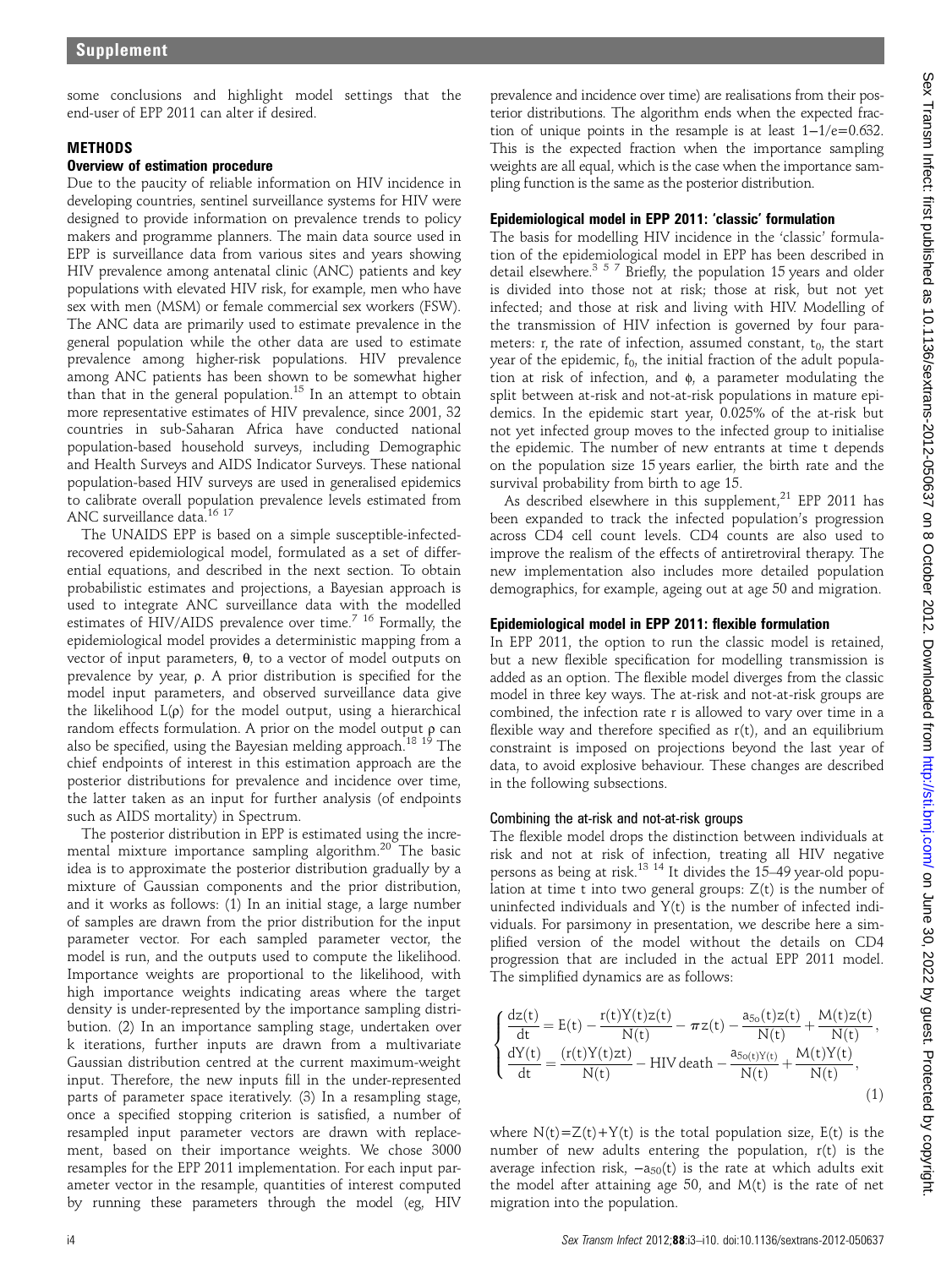some conclusions and highlight model settings that the end-user of EPP 2011 can alter if desired.

## **METHODS**

## Overview of estimation procedure

Due to the paucity of reliable information on HIV incidence in developing countries, sentinel surveillance systems for HIV were designed to provide information on prevalence trends to policy makers and programme planners. The main data source used in EPP is surveillance data from various sites and years showing HIV prevalence among antenatal clinic (ANC) patients and key populations with elevated HIV risk, for example, men who have sex with men (MSM) or female commercial sex workers (FSW). The ANC data are primarily used to estimate prevalence in the general population while the other data are used to estimate prevalence among higher-risk populations. HIV prevalence among ANC patients has been shown to be somewhat higher than that in the general population.<sup>15</sup> In an attempt to obtain more representative estimates of HIV prevalence, since 2001, 32 countries in sub-Saharan Africa have conducted national population-based household surveys, including Demographic and Health Surveys and AIDS Indicator Surveys. These national population-based HIV surveys are used in generalised epidemics to calibrate overall population prevalence levels estimated from ANC surveillance data.16 17

The UNAIDS EPP is based on a simple susceptible-infectedrecovered epidemiological model, formulated as a set of differential equations, and described in the next section. To obtain probabilistic estimates and projections, a Bayesian approach is used to integrate ANC surveillance data with the modelled estimates of HIV/AIDS prevalence over time.<sup>7 16</sup> Formally, the epidemiological model provides a deterministic mapping from a vector of input parameters, θ, to a vector of model outputs on prevalence by year, ρ. A prior distribution is specified for the model input parameters, and observed surveillance data give the likelihood L(ρ) for the model output, using a hierarchical random effects formulation. A prior on the model output ρ can also be specified, using the Bayesian melding approach.<sup>18 19</sup> The chief endpoints of interest in this estimation approach are the posterior distributions for prevalence and incidence over time, the latter taken as an input for further analysis (of endpoints such as AIDS mortality) in Spectrum.

The posterior distribution in EPP is estimated using the incremental mixture importance sampling algorithm.<sup>20</sup> The basic idea is to approximate the posterior distribution gradually by a mixture of Gaussian components and the prior distribution, and it works as follows: (1) In an initial stage, a large number of samples are drawn from the prior distribution for the input parameter vector. For each sampled parameter vector, the model is run, and the outputs used to compute the likelihood. Importance weights are proportional to the likelihood, with high importance weights indicating areas where the target density is under-represented by the importance sampling distribution. (2) In an importance sampling stage, undertaken over k iterations, further inputs are drawn from a multivariate Gaussian distribution centred at the current maximum-weight input. Therefore, the new inputs fill in the under-represented parts of parameter space iteratively. (3) In a resampling stage, once a specified stopping criterion is satisfied, a number of resampled input parameter vectors are drawn with replacement, based on their importance weights. We chose 3000 resamples for the EPP 2011 implementation. For each input parameter vector in the resample, quantities of interest computed by running these parameters through the model (eg, HIV

prevalence and incidence over time) are realisations from their posterior distributions. The algorithm ends when the expected fraction of unique points in the resample is at least 1−1/e=0.632. This is the expected fraction when the importance sampling weights are all equal, which is the case when the importance sampling function is the same as the posterior distribution.

## Epidemiological model in EPP 2011: 'classic' formulation

The basis for modelling HIV incidence in the 'classic' formulation of the epidemiological model in EPP has been described in detail elsewhere.<sup>357</sup> Briefly, the population 15 years and older is divided into those not at risk; those at risk, but not yet infected; and those at risk and living with HIV. Modelling of the transmission of HIV infection is governed by four parameters: r, the rate of infection, assumed constant,  $t_0$ , the start year of the epidemic,  $f_0$ , the initial fraction of the adult population at risk of infection, and ϕ, a parameter modulating the split between at-risk and not-at-risk populations in mature epidemics. In the epidemic start year, 0.025% of the at-risk but not yet infected group moves to the infected group to initialise the epidemic. The number of new entrants at time t depends on the population size 15 years earlier, the birth rate and the survival probability from birth to age 15.

As described elsewhere in this supplement, $^{21}$  EPP 2011 has been expanded to track the infected population's progression across CD4 cell count levels. CD4 counts are also used to improve the realism of the effects of antiretroviral therapy. The new implementation also includes more detailed population demographics, for example, ageing out at age 50 and migration.

#### Epidemiological model in EPP 2011: flexible formulation

In EPP 2011, the option to run the classic model is retained, but a new flexible specification for modelling transmission is added as an option. The flexible model diverges from the classic model in three key ways. The at-risk and not-at-risk groups are combined, the infection rate r is allowed to vary over time in a flexible way and therefore specified as  $r(t)$ , and an equilibrium constraint is imposed on projections beyond the last year of data, to avoid explosive behaviour. These changes are described in the following subsections.

#### Combining the at-risk and not-at-risk groups

The flexible model drops the distinction between individuals at risk and not at risk of infection, treating all HIV negative persons as being at risk.13 14 It divides the 15–49 year-old population at time t into two general groups: Z(t) is the number of uninfected individuals and Y(t) is the number of infected individuals. For parsimony in presentation, we describe here a simplified version of the model without the details on CD4 progression that are included in the actual EPP 2011 model. The simplified dynamics are as follows:

$$
\begin{cases} \frac{dz(t)}{dt} = E(t) - \frac{r(t)Y(t)z(t)}{N(t)} - \pi z(t) - \frac{a_{5o}(t)z(t)}{N(t)} + \frac{M(t)z(t)}{N(t)}, \\ \frac{dY(t)}{dt} = \frac{(r(t)Y(t)zt)}{N(t)} - HIV \, death - \frac{a_{5o(t)Y(t)}}{N(t)} + \frac{M(t)Y(t)}{N(t)}, \end{cases} \tag{1}
$$

where  $N(t)=Z(t)+Y(t)$  is the total population size,  $E(t)$  is the number of new adults entering the population, r(t) is the average infection risk,  $-a_{50}(t)$  is the rate at which adults exit the model after attaining age 50, and M(t) is the rate of net migration into the population.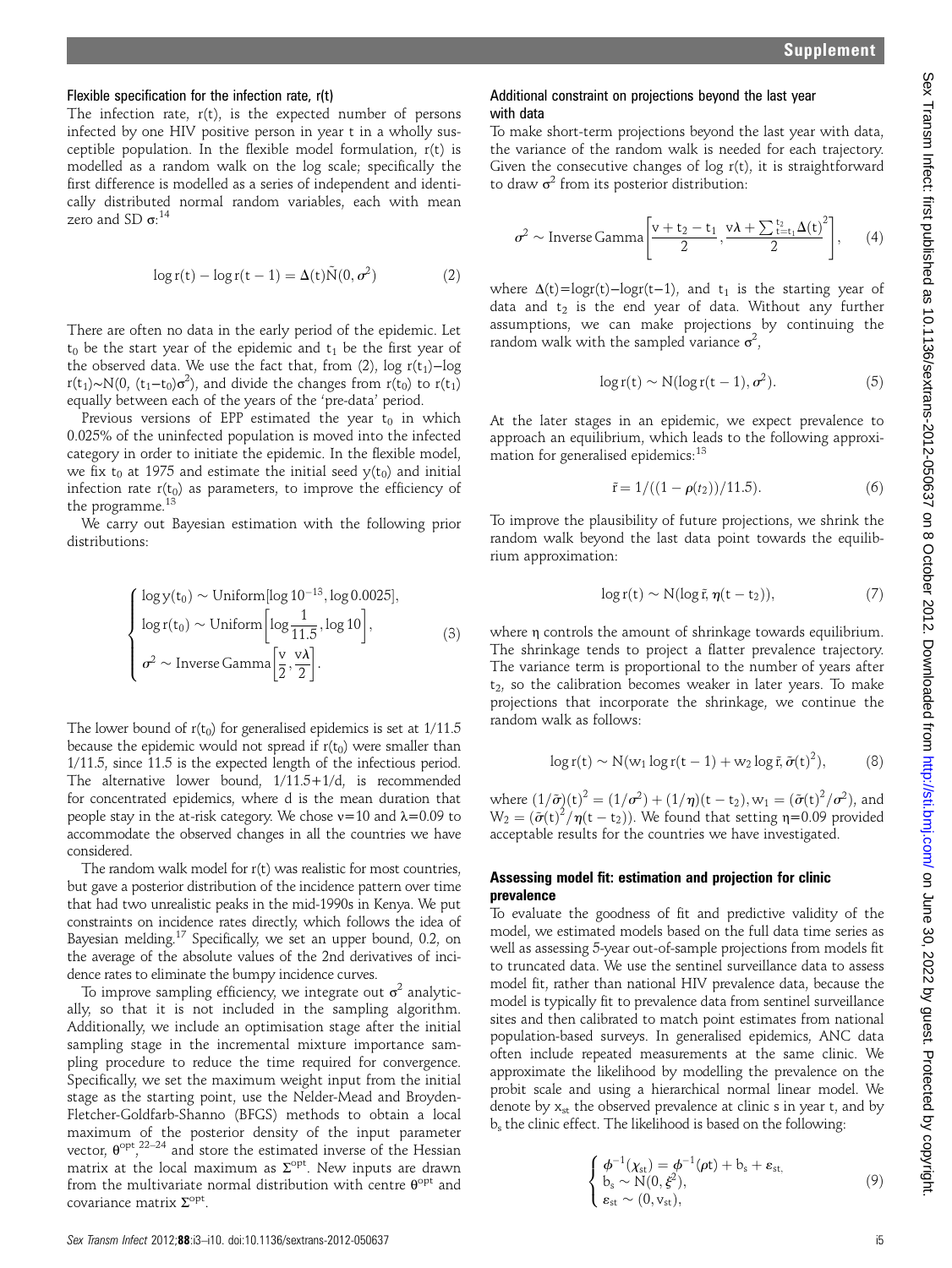### Flexible specification for the infection rate, r(t)

The infection rate,  $r(t)$ , is the expected number of persons infected by one HIV positive person in year t in a wholly susceptible population. In the flexible model formulation, r(t) is modelled as a random walk on the log scale; specifically the first difference is modelled as a series of independent and identically distributed normal random variables, each with mean zero and SD  $\sigma$ :<sup>14</sup>

$$
\log r(t) - \log r(t-1) = \Delta(t)\tilde{N}(0, \sigma^2)
$$
 (2)

There are often no data in the early period of the epidemic. Let  $t_0$  be the start year of the epidemic and  $t_1$  be the first year of the observed data. We use the fact that, from (2), log  $r(t_1)$ -log r(t<sub>1</sub>)∼N(0, (t<sub>1</sub>−t<sub>0</sub>) $\sigma^2$ ), and divide the changes from r(t<sub>0</sub>) to r(t<sub>1</sub>) equally between each of the years of the 'pre-data' period.

Previous versions of EPP estimated the year  $t_0$  in which 0.025% of the uninfected population is moved into the infected category in order to initiate the epidemic. In the flexible model, we fix t<sub>0</sub> at 1975 and estimate the initial seed  $y(t_0)$  and initial infection rate  $r(t_0)$  as parameters, to improve the efficiency of the programme.

We carry out Bayesian estimation with the following prior distributions:

$$
\begin{cases}\n\log y(t_0) \sim \text{Uniform}[\log 10^{-13}, \log 0.0025], \\
\log r(t_0) \sim \text{Uniform}[\log \frac{1}{11.5}, \log 10], \\
\sigma^2 \sim \text{Inverse Gamma}[\frac{v}{2}, \frac{v\lambda}{2}].\n\end{cases}
$$
\n(3)

The lower bound of  $r(t_0)$  for generalised epidemics is set at  $1/11.5$ because the epidemic would not spread if  $r(t_0)$  were smaller than 1/11.5, since 11.5 is the expected length of the infectious period. The alternative lower bound, 1/11.5+1/d, is recommended for concentrated epidemics, where d is the mean duration that people stay in the at-risk category. We chose  $v=10$  and  $λ=0.09$  to accommodate the observed changes in all the countries we have considered.

The random walk model for r(t) was realistic for most countries, but gave a posterior distribution of the incidence pattern over time that had two unrealistic peaks in the mid-1990s in Kenya. We put constraints on incidence rates directly, which follows the idea of Bayesian melding.17 Specifically, we set an upper bound, 0.2, on the average of the absolute values of the 2nd derivatives of incidence rates to eliminate the bumpy incidence curves.

To improve sampling efficiency, we integrate out  $\sigma^2$  analytically, so that it is not included in the sampling algorithm. Additionally, we include an optimisation stage after the initial sampling stage in the incremental mixture importance sampling procedure to reduce the time required for convergence. Specifically, we set the maximum weight input from the initial stage as the starting point, use the Nelder-Mead and Broyden-Fletcher-Goldfarb-Shanno (BFGS) methods to obtain a local maximum of the posterior density of the input parameter vector,  $\theta^{\text{opt}}$ ,  $^{22-24}$  and store the estimated inverse of the Hessian matrix at the local maximum as  $\Sigma^{\rm opt}$ . New inputs are drawn from the multivariate normal distribution with centre  $\theta^{\text{opt}}$  and covariance matrix  $\Sigma^{\rm opt}$ .

## Additional constraint on projections beyond the last year with data

To make short-term projections beyond the last year with data, the variance of the random walk is needed for each trajectory. Given the consecutive changes of  $log r(t)$ , it is straightforward to draw  $\sigma^2$  from its posterior distribution:

$$
\sigma^2 \sim \text{Inverse Gamma}\left[\frac{v+t_2-t_1}{2}, \frac{v\lambda+\sum_{t=t_1}^{t_2}\Delta(t)}{2}\right],\qquad(4)
$$

where  $\Delta(t)$ =logr(t)−logr(t−1), and t<sub>1</sub> is the starting year of data and  $t_2$  is the end year of data. Without any further assumptions, we can make projections by continuing the random walk with the sampled variance  $\sigma^2$ ,

$$
\log r(t) \sim N(\log r(t-1), \sigma^2). \tag{5}
$$

At the later stages in an epidemic, we expect prevalence to approach an equilibrium, which leads to the following approximation for generalised epidemics:<sup>13</sup>

$$
\tilde{r} = 1/((1 - \rho(t_2))/11.5). \tag{6}
$$

To improve the plausibility of future projections, we shrink the random walk beyond the last data point towards the equilibrium approximation:

$$
\log r(t) \sim N(\log \tilde{r}, \eta(t - t_2)), \tag{7}
$$

where η controls the amount of shrinkage towards equilibrium. The shrinkage tends to project a flatter prevalence trajectory. The variance term is proportional to the number of years after  $t_2$ , so the calibration becomes weaker in later years. To make projections that incorporate the shrinkage, we continue the random walk as follows:

$$
\log r(t) \sim N(w_1 \log r(t-1) + w_2 \log \tilde{r}, \tilde{\sigma}(t)^2), \tag{8}
$$

where  $(1/\tilde{\sigma})(t)^2 = (1/\sigma^2) + (1/\eta)(t - t_2)$ ,  $w_1 = (\tilde{\sigma}(t)^2/\sigma^2)$ , and  $W_2 = \left(\frac{\tilde{\sigma}(t)^2}{\eta(t - t_2)}\right)$ . We found that setting  $\eta = 0.09$  provided acceptable results for the countries we have investigated.

#### Assessing model fit: estimation and projection for clinic prevalence

To evaluate the goodness of fit and predictive validity of the model, we estimated models based on the full data time series as well as assessing 5-year out-of-sample projections from models fit to truncated data. We use the sentinel surveillance data to assess model fit, rather than national HIV prevalence data, because the model is typically fit to prevalence data from sentinel surveillance sites and then calibrated to match point estimates from national population-based surveys. In generalised epidemics, ANC data often include repeated measurements at the same clinic. We approximate the likelihood by modelling the prevalence on the probit scale and using a hierarchical normal linear model. We denote by  $x_{st}$  the observed prevalence at clinic s in year t, and by bs the clinic effect. The likelihood is based on the following:

$$
\begin{cases}\n\phi^{-1}(\chi_{st}) = \phi^{-1}(\rho t) + b_s + \epsilon_{st,} \\
b_s \sim N(0, \xi^2), \\
\epsilon_{st} \sim (0, v_{st}),\n\end{cases} \tag{9}
$$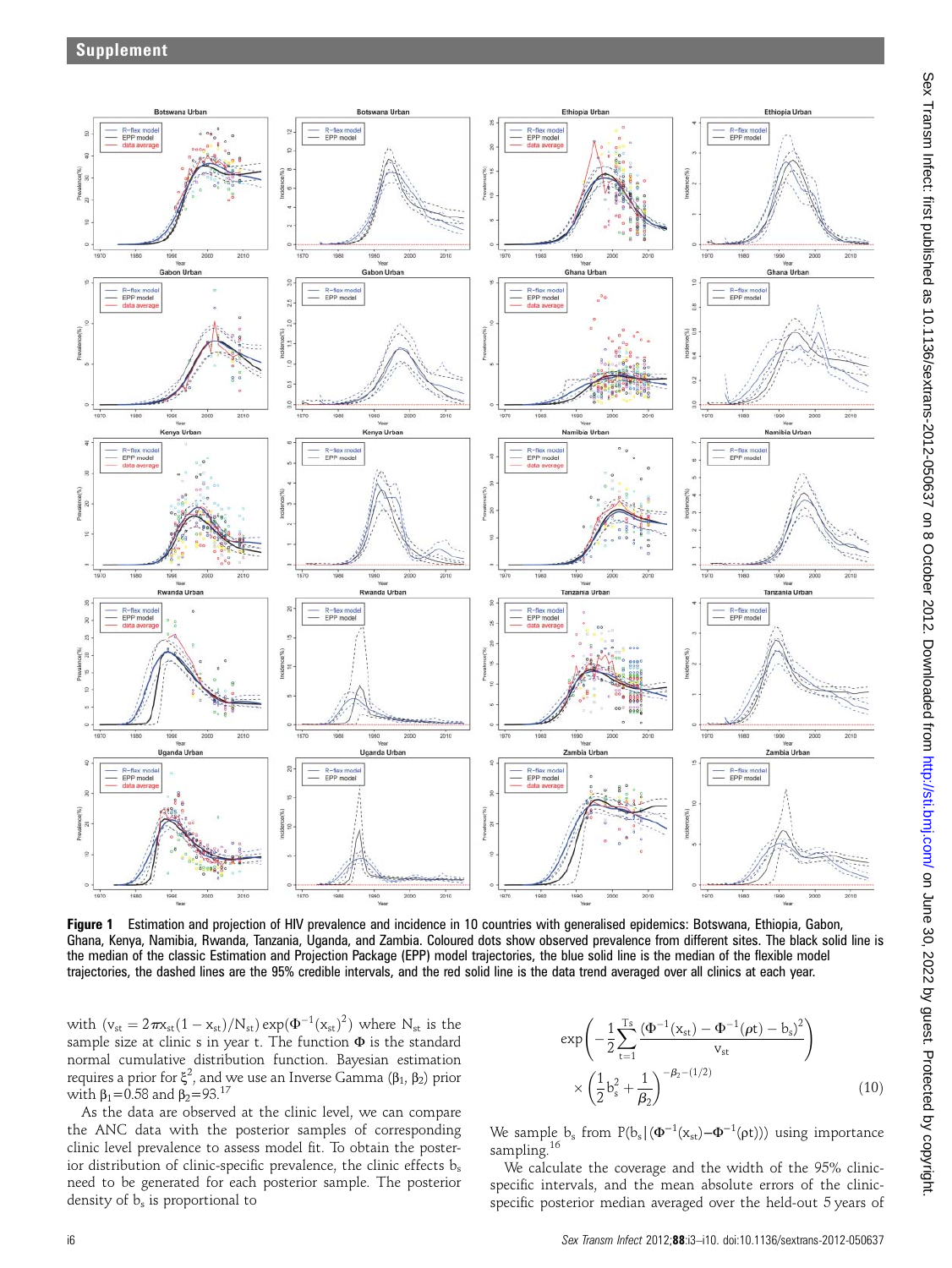

Figure 1 Estimation and projection of HIV prevalence and incidence in 10 countries with generalised epidemics: Botswana, Ethiopia, Gabon, Ghana, Kenya, Namibia, Rwanda, Tanzania, Uganda, and Zambia. Coloured dots show observed prevalence from different sites. The black solid line is the median of the classic Estimation and Projection Package (EPP) model trajectories, the blue solid line is the median of the flexible model trajectories, the dashed lines are the 95% credible intervals, and the red solid line is the data trend averaged over all clinics at each year.

with  $(v_{st} = 2\pi x_{st}(1 - x_{st})/N_{st}) \exp(\Phi^{-1}(x_{st})^2)$  where  $N_{st}$  is the sample size at clinic s in year t. The function Φ is the standard normal cumulative distribution function. Bayesian estimation requires a prior for  $\xi^2$ , and we use an Inverse Gamma (β<sub>1</sub>, β<sub>2</sub>) prior with  $β_1 = 0.58$  and  $β_2 = 93.<sup>17</sup>$ 

As the data are observed at the clinic level, we can compare the ANC data with the posterior samples of corresponding clinic level prevalence to assess model fit. To obtain the posterior distribution of clinic-specific prevalence, the clinic effects  $b_s$ need to be generated for each posterior sample. The posterior density of  $b_s$  is proportional to

$$
\exp\left(-\frac{1}{2}\sum_{t=1}^{Ts}\frac{(\Phi^{-1}(x_{st}) - \Phi^{-1}(\rho t) - b_s)^2}{v_{st}}\right)
$$

$$
\times \left(\frac{1}{2}b_s^2 + \frac{1}{\beta_2}\right)^{-\beta_2 - (1/2)}\tag{10}
$$

We sample  $\rm b_s$  from  $\rm P(b_s | (\Phi^{-1}(x_{st})-\Phi^{-1}(\rho t)))$  using importance sampling.<sup>16</sup>

We calculate the coverage and the width of the 95% clinicspecific intervals, and the mean absolute errors of the clinicspecific posterior median averaged over the held-out 5 years of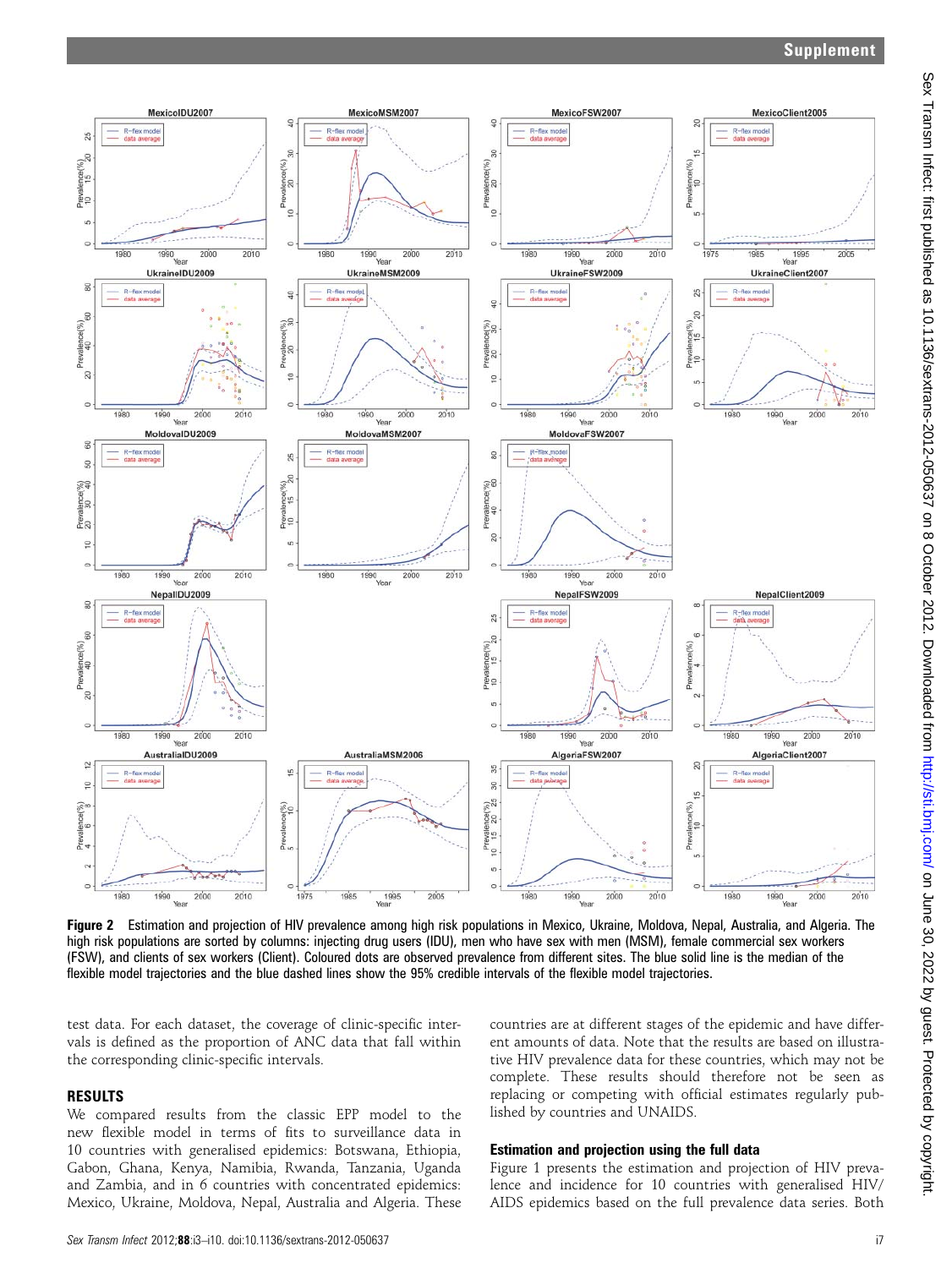## Supplement



Figure 2 Estimation and projection of HIV prevalence among high risk populations in Mexico, Ukraine, Moldova, Nepal, Australia, and Algeria. The high risk populations are sorted by columns: injecting drug users (IDU), men who have sex with men (MSM), female commercial sex workers (FSW), and clients of sex workers (Client). Coloured dots are observed prevalence from different sites. The blue solid line is the median of the flexible model trajectories and the blue dashed lines show the 95% credible intervals of the flexible model trajectories.

test data. For each dataset, the coverage of clinic-specific intervals is defined as the proportion of ANC data that fall within the corresponding clinic-specific intervals.

## RESULTS

We compared results from the classic EPP model to the new flexible model in terms of fits to surveillance data in 10 countries with generalised epidemics: Botswana, Ethiopia, Gabon, Ghana, Kenya, Namibia, Rwanda, Tanzania, Uganda and Zambia, and in 6 countries with concentrated epidemics: Mexico, Ukraine, Moldova, Nepal, Australia and Algeria. These countries are at different stages of the epidemic and have different amounts of data. Note that the results are based on illustrative HIV prevalence data for these countries, which may not be complete. These results should therefore not be seen as replacing or competing with official estimates regularly published by countries and UNAIDS.

## Estimation and projection using the full data

Figure 1 presents the estimation and projection of HIV prevalence and incidence for 10 countries with generalised HIV/ AIDS epidemics based on the full prevalence data series. Both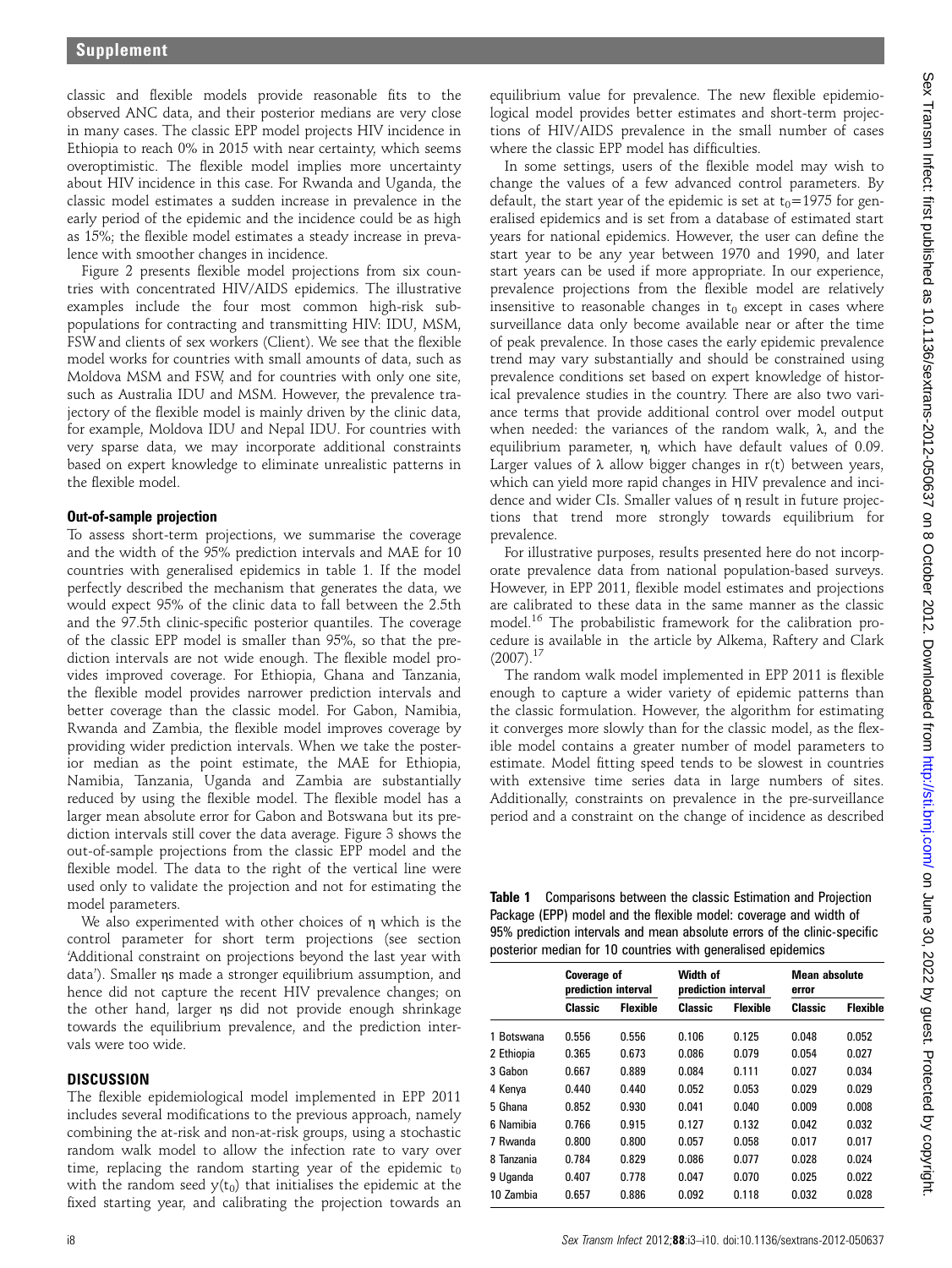classic and flexible models provide reasonable fits to the observed ANC data, and their posterior medians are very close in many cases. The classic EPP model projects HIV incidence in Ethiopia to reach 0% in 2015 with near certainty, which seems overoptimistic. The flexible model implies more uncertainty about HIV incidence in this case. For Rwanda and Uganda, the classic model estimates a sudden increase in prevalence in the early period of the epidemic and the incidence could be as high as 15%; the flexible model estimates a steady increase in prevalence with smoother changes in incidence.

Figure 2 presents flexible model projections from six countries with concentrated HIV/AIDS epidemics. The illustrative examples include the four most common high-risk subpopulations for contracting and transmitting HIV: IDU, MSM, FSW and clients of sex workers (Client). We see that the flexible model works for countries with small amounts of data, such as Moldova MSM and FSW, and for countries with only one site, such as Australia IDU and MSM. However, the prevalence trajectory of the flexible model is mainly driven by the clinic data, for example, Moldova IDU and Nepal IDU. For countries with very sparse data, we may incorporate additional constraints based on expert knowledge to eliminate unrealistic patterns in the flexible model.

## Out-of-sample projection

To assess short-term projections, we summarise the coverage and the width of the 95% prediction intervals and MAE for 10 countries with generalised epidemics in table 1. If the model perfectly described the mechanism that generates the data, we would expect 95% of the clinic data to fall between the 2.5th and the 97.5th clinic-specific posterior quantiles. The coverage of the classic EPP model is smaller than 95%, so that the prediction intervals are not wide enough. The flexible model provides improved coverage. For Ethiopia, Ghana and Tanzania, the flexible model provides narrower prediction intervals and better coverage than the classic model. For Gabon, Namibia, Rwanda and Zambia, the flexible model improves coverage by providing wider prediction intervals. When we take the posterior median as the point estimate, the MAE for Ethiopia, Namibia, Tanzania, Uganda and Zambia are substantially reduced by using the flexible model. The flexible model has a larger mean absolute error for Gabon and Botswana but its prediction intervals still cover the data average. Figure 3 shows the out-of-sample projections from the classic EPP model and the flexible model. The data to the right of the vertical line were used only to validate the projection and not for estimating the model parameters.

We also experimented with other choices of η which is the control parameter for short term projections (see section 'Additional constraint on projections beyond the last year with data'). Smaller ηs made a stronger equilibrium assumption, and hence did not capture the recent HIV prevalence changes; on the other hand, larger ηs did not provide enough shrinkage towards the equilibrium prevalence, and the prediction intervals were too wide.

## **DISCUSSION**

The flexible epidemiological model implemented in EPP 2011 includes several modifications to the previous approach, namely combining the at-risk and non-at-risk groups, using a stochastic random walk model to allow the infection rate to vary over time, replacing the random starting year of the epidemic  $t_0$ with the random seed  $y(t_0)$  that initialises the epidemic at the fixed starting year, and calibrating the projection towards an

equilibrium value for prevalence. The new flexible epidemiological model provides better estimates and short-term projections of HIV/AIDS prevalence in the small number of cases where the classic EPP model has difficulties.

In some settings, users of the flexible model may wish to change the values of a few advanced control parameters. By default, the start year of the epidemic is set at  $t_0$ =1975 for generalised epidemics and is set from a database of estimated start years for national epidemics. However, the user can define the start year to be any year between 1970 and 1990, and later start years can be used if more appropriate. In our experience, prevalence projections from the flexible model are relatively insensitive to reasonable changes in  $t_0$  except in cases where surveillance data only become available near or after the time of peak prevalence. In those cases the early epidemic prevalence trend may vary substantially and should be constrained using prevalence conditions set based on expert knowledge of historical prevalence studies in the country. There are also two variance terms that provide additional control over model output when needed: the variances of the random walk, λ, and the equilibrium parameter, η, which have default values of 0.09. Larger values of  $\lambda$  allow bigger changes in r(t) between years, which can yield more rapid changes in HIV prevalence and incidence and wider CIs. Smaller values of η result in future projections that trend more strongly towards equilibrium for prevalence.

For illustrative purposes, results presented here do not incorporate prevalence data from national population-based surveys. However, in EPP 2011, flexible model estimates and projections are calibrated to these data in the same manner as the classic model.<sup>16</sup> The probabilistic framework for the calibration procedure is available in the article by Alkema, Raftery and Clark  $(2007).$ <sup>17</sup>

The random walk model implemented in EPP 2011 is flexible enough to capture a wider variety of epidemic patterns than the classic formulation. However, the algorithm for estimating it converges more slowly than for the classic model, as the flexible model contains a greater number of model parameters to estimate. Model fitting speed tends to be slowest in countries with extensive time series data in large numbers of sites. Additionally, constraints on prevalence in the pre-surveillance period and a constraint on the change of incidence as described

Table 1 Comparisons between the classic Estimation and Projection Package (EPP) model and the flexible model: coverage and width of 95% prediction intervals and mean absolute errors of the clinic-specific posterior median for 10 countries with generalised epidemics

|            | <b>Coverage of</b><br>prediction interval |                 | Width of<br>prediction interval |                 | <b>Mean absolute</b><br>error |                 |
|------------|-------------------------------------------|-----------------|---------------------------------|-----------------|-------------------------------|-----------------|
|            | Classic                                   | <b>Flexible</b> | Classic                         | <b>Flexible</b> | Classic                       | <b>Flexible</b> |
| 1 Botswana | 0.556                                     | 0.556           | 0.106                           | 0.125           | 0.048                         | 0.052           |
| 2 Ethiopia | 0.365                                     | 0.673           | 0.086                           | 0.079           | 0.054                         | 0.027           |
| 3 Gabon    | 0.667                                     | 0.889           | 0.084                           | 0.111           | 0.027                         | 0.034           |
| 4 Kenya    | 0.440                                     | 0.440           | 0.052                           | 0.053           | 0.029                         | 0.029           |
| 5 Ghana    | 0.852                                     | 0.930           | 0.041                           | 0.040           | 0.009                         | 0.008           |
| 6 Namihia  | 0.766                                     | 0.915           | 0.127                           | 0.132           | 0.042                         | 0.032           |
| 7 Rwanda   | 0.800                                     | 0.800           | 0.057                           | 0.058           | 0.017                         | 0.017           |
| 8 Tanzania | 0.784                                     | 0.829           | 0.086                           | 0.077           | 0.028                         | 0.024           |
| 9 Uganda   | 0.407                                     | 0.778           | 0.047                           | 0.070           | 0.025                         | 0.022           |
| 10 Zambia  | 0.657                                     | 0.886           | 0.092                           | 0.118           | 0.032                         | 0.028           |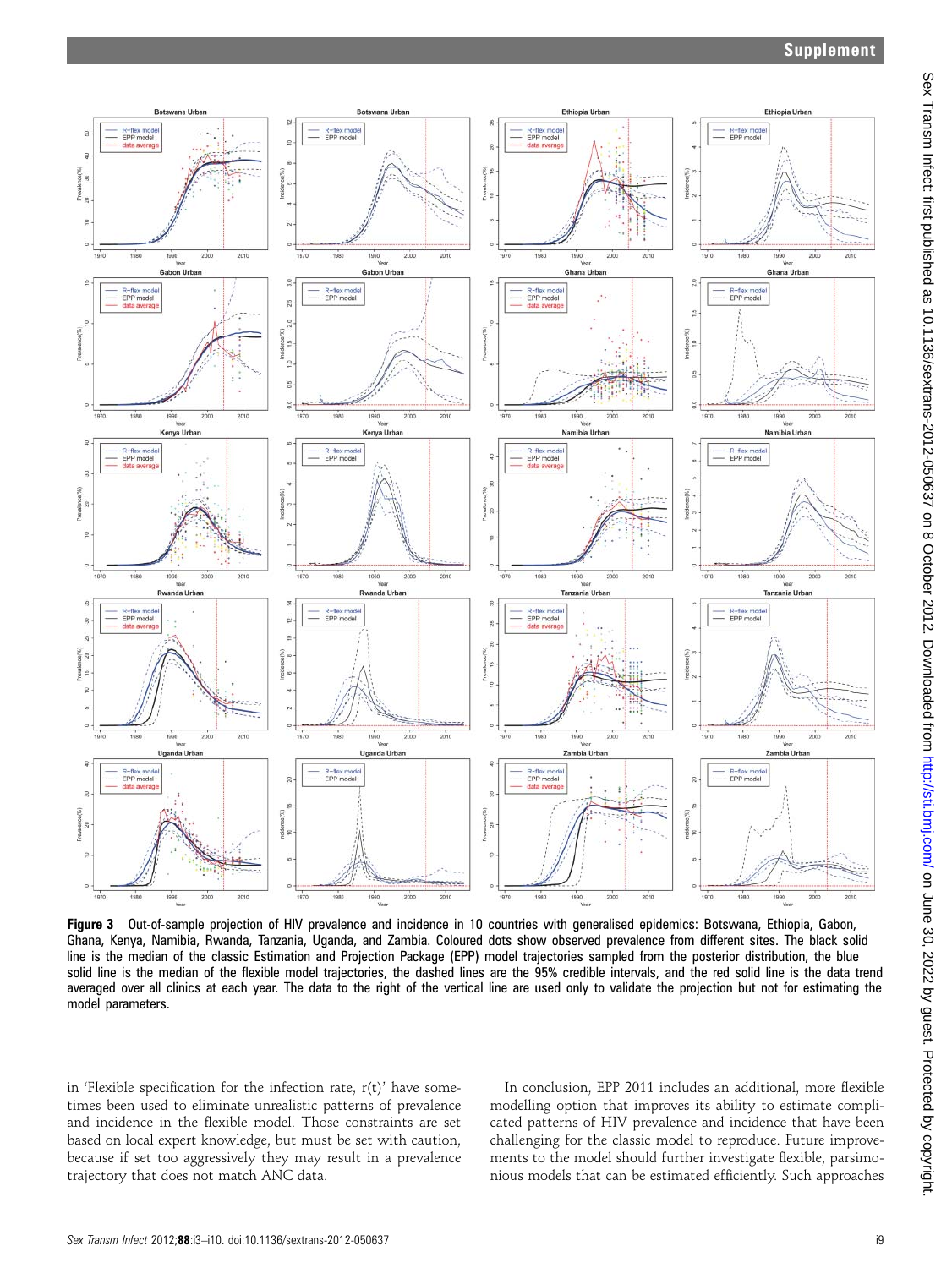

Figure 3 Out-of-sample projection of HIV prevalence and incidence in 10 countries with generalised epidemics: Botswana, Ethiopia, Gabon, Ghana, Kenya, Namibia, Rwanda, Tanzania, Uganda, and Zambia. Coloured dots show observed prevalence from different sites. The black solid line is the median of the classic Estimation and Projection Package (EPP) model trajectories sampled from the posterior distribution, the blue solid line is the median of the flexible model trajectories, the dashed lines are the 95% credible intervals, and the red solid line is the data trend averaged over all clinics at each year. The data to the right of the vertical line are used only to validate the projection but not for estimating the model parameters.

in 'Flexible specification for the infection rate,  $r(t)$ ' have sometimes been used to eliminate unrealistic patterns of prevalence and incidence in the flexible model. Those constraints are set based on local expert knowledge, but must be set with caution, because if set too aggressively they may result in a prevalence trajectory that does not match ANC data.

In conclusion, EPP 2011 includes an additional, more flexible modelling option that improves its ability to estimate complicated patterns of HIV prevalence and incidence that have been challenging for the classic model to reproduce. Future improvements to the model should further investigate flexible, parsimonious models that can be estimated efficiently. Such approaches